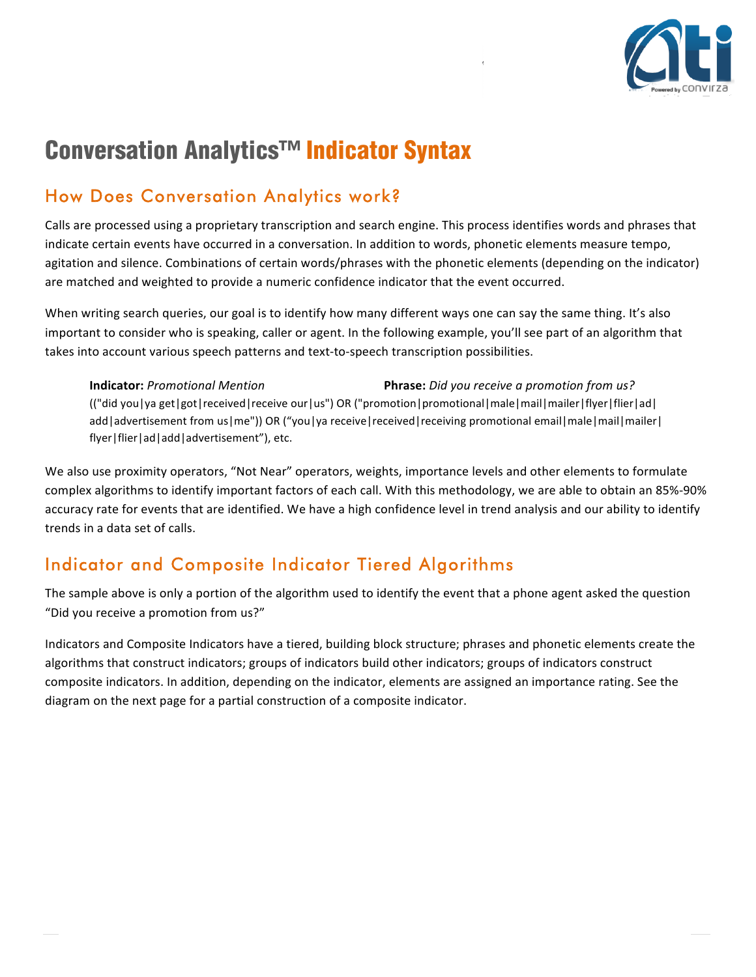

# Conversation Analytics™ Indicator Syntax

## How Does Conversation Analytics work?

Calls are processed using a proprietary transcription and search engine. This process identifies words and phrases that indicate certain events have occurred in a conversation. In addition to words, phonetic elements measure tempo, agitation and silence. Combinations of certain words/phrases with the phonetic elements (depending on the indicator) are matched and weighted to provide a numeric confidence indicator that the event occurred.

When writing search queries, our goal is to identify how many different ways one can say the same thing. It's also important to consider who is speaking, caller or agent. In the following example, you'll see part of an algorithm that takes into account various speech patterns and text-to-speech transcription possibilities.

**Indicator:** Promotional Mention **Phrase:** Did you receive a promotion from us? (("did you|ya get|got|received|receive our|us") OR ("promotion|promotional|male|mail|mailer|flyer|flier|ad| add|advertisement from us|me")) OR ("you|ya receive|received|receiving promotional email|male|mail|mailer| flyer|flier|ad|add|advertisement"), etc.

We also use proximity operators, "Not Near" operators, weights, importance levels and other elements to formulate complex algorithms to identify important factors of each call. With this methodology, we are able to obtain an 85%-90% accuracy rate for events that are identified. We have a high confidence level in trend analysis and our ability to identify trends in a data set of calls.

### Indicator and Composite Indicator Tiered Algorithms

The sample above is only a portion of the algorithm used to identify the event that a phone agent asked the question "Did you receive a promotion from us?"

Indicators and Composite Indicators have a tiered, building block structure; phrases and phonetic elements create the algorithms that construct indicators; groups of indicators build other indicators; groups of indicators construct composite indicators. In addition, depending on the indicator, elements are assigned an importance rating. See the diagram on the next page for a partial construction of a composite indicator.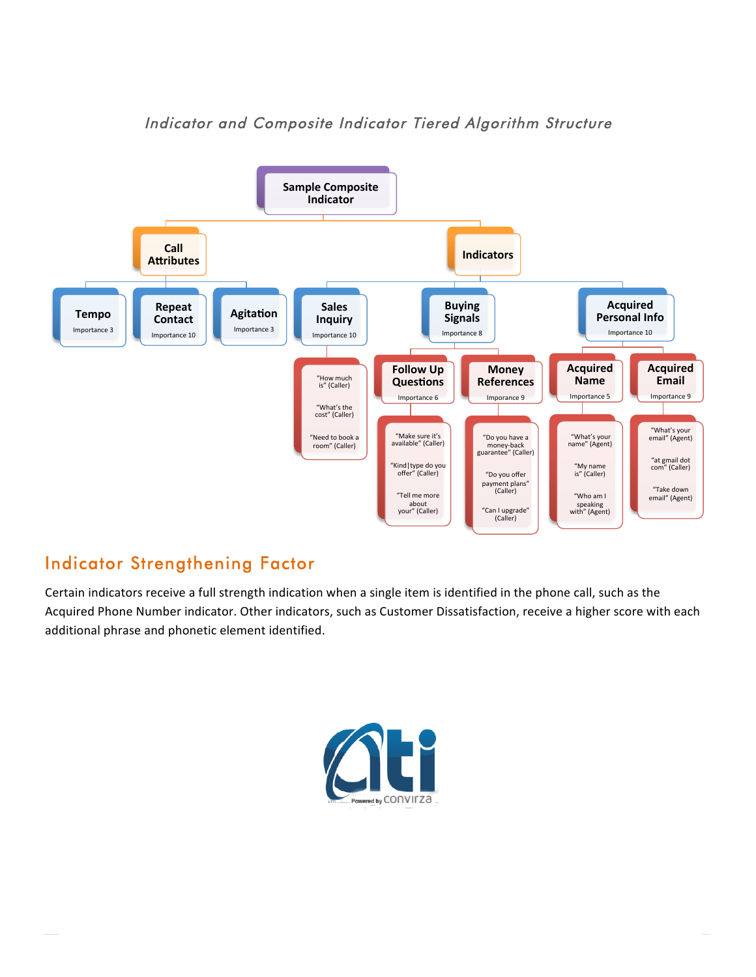

#### Indicator and Composite Indicator Tiered Algorithm Structure

### Indicator Strengthening Factor

Certain indicators receive a full strength indication when a single item is identified in the phone call, such as the Acquired Phone Number indicator. Other indicators, such as Customer Dissatisfaction, receive a higher score with each additional phrase and phonetic element identified.

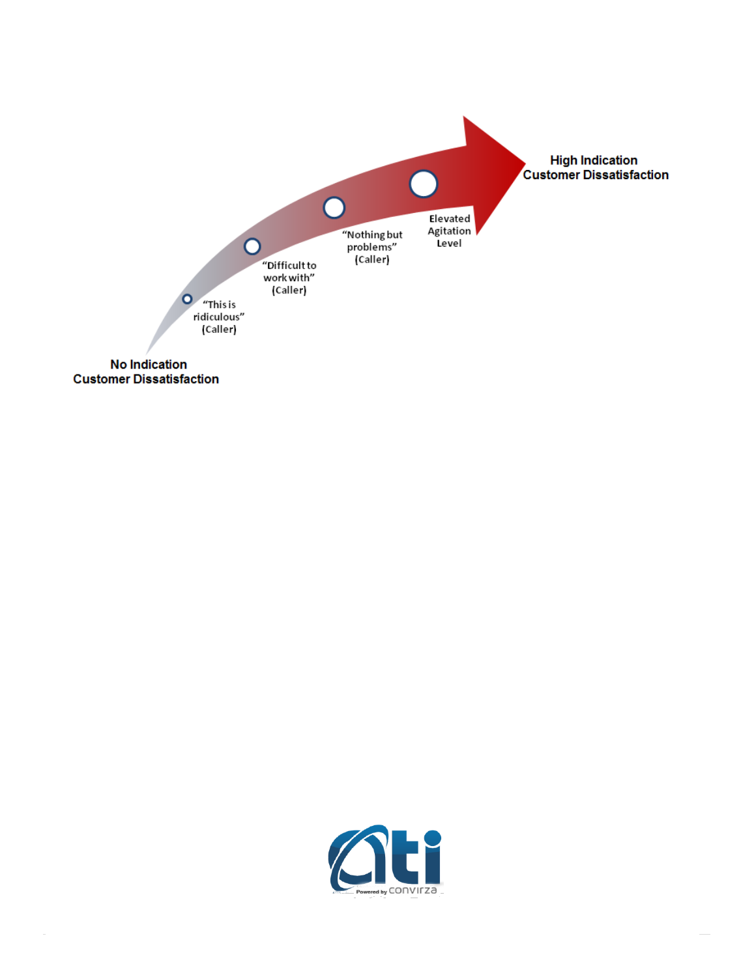

**Customer Dissatisfaction** 

 $\sim$ 

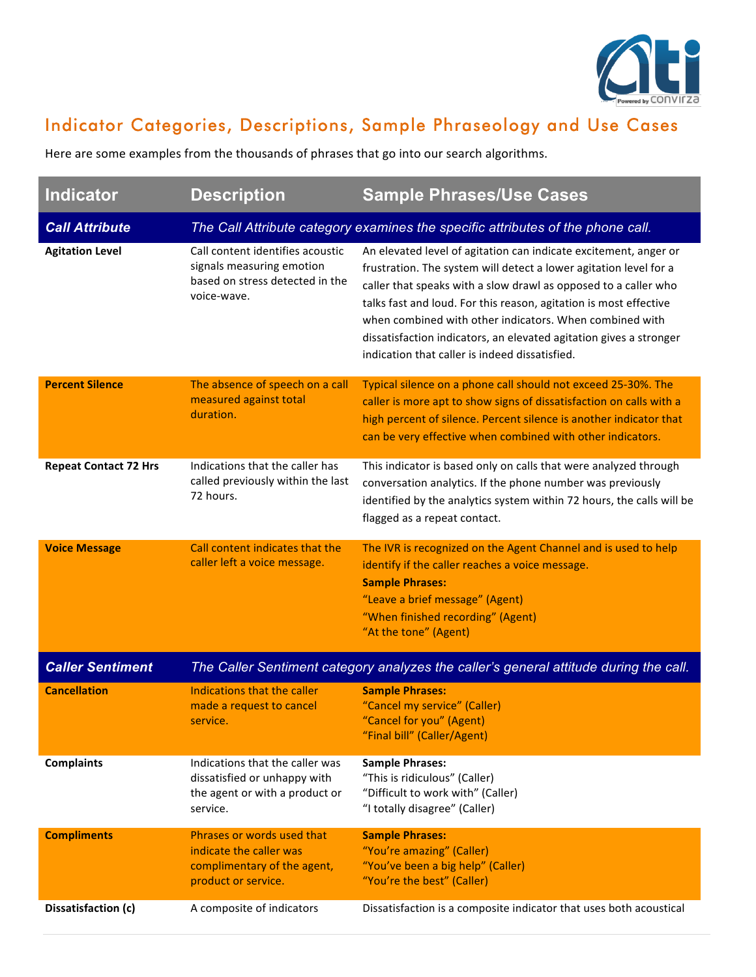

## Indicator Categories, Descriptions, Sample Phraseology and Use Cases

Here are some examples from the thousands of phrases that go into our search algorithms.

| <b>Indicator</b>             | <b>Description</b>                                                                                              | <b>Sample Phrases/Use Cases</b>                                                                                                                                                                                                                                                                                                                                                                                                                                  |  |
|------------------------------|-----------------------------------------------------------------------------------------------------------------|------------------------------------------------------------------------------------------------------------------------------------------------------------------------------------------------------------------------------------------------------------------------------------------------------------------------------------------------------------------------------------------------------------------------------------------------------------------|--|
| <b>Call Attribute</b>        | The Call Attribute category examines the specific attributes of the phone call.                                 |                                                                                                                                                                                                                                                                                                                                                                                                                                                                  |  |
| <b>Agitation Level</b>       | Call content identifies acoustic<br>signals measuring emotion<br>based on stress detected in the<br>voice-wave. | An elevated level of agitation can indicate excitement, anger or<br>frustration. The system will detect a lower agitation level for a<br>caller that speaks with a slow drawl as opposed to a caller who<br>talks fast and loud. For this reason, agitation is most effective<br>when combined with other indicators. When combined with<br>dissatisfaction indicators, an elevated agitation gives a stronger<br>indication that caller is indeed dissatisfied. |  |
| <b>Percent Silence</b>       | The absence of speech on a call<br>measured against total<br>duration.                                          | Typical silence on a phone call should not exceed 25-30%. The<br>caller is more apt to show signs of dissatisfaction on calls with a<br>high percent of silence. Percent silence is another indicator that<br>can be very effective when combined with other indicators.                                                                                                                                                                                         |  |
| <b>Repeat Contact 72 Hrs</b> | Indications that the caller has<br>called previously within the last<br>72 hours.                               | This indicator is based only on calls that were analyzed through<br>conversation analytics. If the phone number was previously<br>identified by the analytics system within 72 hours, the calls will be<br>flagged as a repeat contact.                                                                                                                                                                                                                          |  |
| <b>Voice Message</b>         | Call content indicates that the<br>caller left a voice message.                                                 | The IVR is recognized on the Agent Channel and is used to help<br>identify if the caller reaches a voice message.<br><b>Sample Phrases:</b><br>"Leave a brief message" (Agent)<br>"When finished recording" (Agent)<br>"At the tone" (Agent)                                                                                                                                                                                                                     |  |
| <b>Caller Sentiment</b>      | The Caller Sentiment category analyzes the caller's general attitude during the call.                           |                                                                                                                                                                                                                                                                                                                                                                                                                                                                  |  |
| <b>Cancellation</b>          | Indications that the caller<br>made a request to cancel<br>service.                                             | <b>Sample Phrases:</b><br>"Cancel my service" (Caller)<br>"Cancel for you" (Agent)<br>"Final bill" (Caller/Agent)                                                                                                                                                                                                                                                                                                                                                |  |
| <b>Complaints</b>            | Indications that the caller was<br>dissatisfied or unhappy with<br>the agent or with a product or<br>service.   | <b>Sample Phrases:</b><br>"This is ridiculous" (Caller)<br>"Difficult to work with" (Caller)<br>"I totally disagree" (Caller)                                                                                                                                                                                                                                                                                                                                    |  |
| <b>Compliments</b>           | Phrases or words used that<br>indicate the caller was<br>complimentary of the agent,<br>product or service.     | <b>Sample Phrases:</b><br>"You're amazing" (Caller)<br>"You've been a big help" (Caller)<br>"You're the best" (Caller)                                                                                                                                                                                                                                                                                                                                           |  |
| Dissatisfaction (c)          | A composite of indicators                                                                                       | Dissatisfaction is a composite indicator that uses both acoustical                                                                                                                                                                                                                                                                                                                                                                                               |  |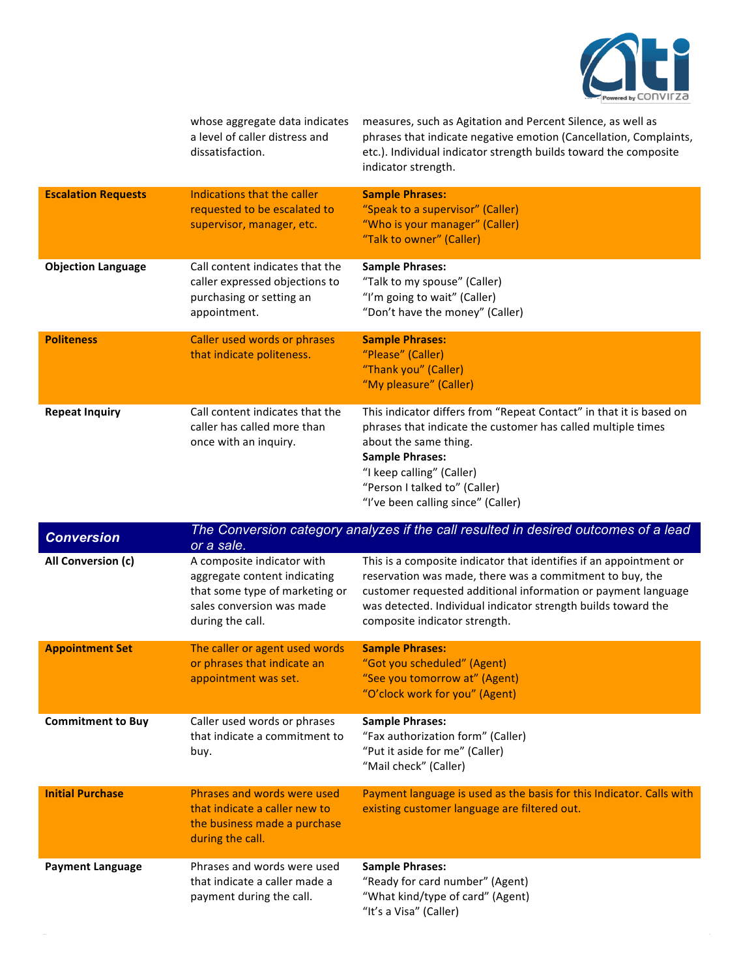

whose aggregate data indicates a level of caller distress and dissatisfaction. measures, such as Agitation and Percent Silence, as well as phrases that indicate negative emotion (Cancellation, Complaints, etc.). Individual indicator strength builds toward the composite indicator strength. **Escalation Requests** Indications that the caller requested to be escalated to supervisor, manager, etc. **Sample Phrases:** "Speak to a supervisor" (Caller) "Who is your manager" (Caller) "Talk to owner" (Caller) **Objection Language** Call content indicates that the caller expressed objections to purchasing or setting an appointment. **Sample Phrases:** "Talk to my spouse" (Caller) "I'm going to wait" (Caller) "Don't have the money" (Caller) **Politeness Caller used words or phrases** that indicate politeness. **Sample Phrases:** "Please" (Caller) "Thank you" (Caller) "My pleasure" (Caller) **Repeat Inquiry** Call content indicates that the caller has called more than once with an inquiry. This indicator differs from "Repeat Contact" in that it is based on phrases that indicate the customer has called multiple times about the same thing. **Sample Phrases:** "I keep calling" (Caller)

> "Person I talked to" (Caller) "I've been calling since" (Caller)

| <b>Conversion</b>        | or a sale.                                                                                                                                    | The Conversion category analyzes if the call resulted in desired outcomes of a lead                                                                                                                                                                                                               |
|--------------------------|-----------------------------------------------------------------------------------------------------------------------------------------------|---------------------------------------------------------------------------------------------------------------------------------------------------------------------------------------------------------------------------------------------------------------------------------------------------|
| All Conversion (c)       | A composite indicator with<br>aggregate content indicating<br>that some type of marketing or<br>sales conversion was made<br>during the call. | This is a composite indicator that identifies if an appointment or<br>reservation was made, there was a commitment to buy, the<br>customer requested additional information or payment language<br>was detected. Individual indicator strength builds toward the<br>composite indicator strength. |
| <b>Appointment Set</b>   | The caller or agent used words<br>or phrases that indicate an<br>appointment was set.                                                         | <b>Sample Phrases:</b><br>"Got you scheduled" (Agent)<br>"See you tomorrow at" (Agent)<br>"O'clock work for you" (Agent)                                                                                                                                                                          |
| <b>Commitment to Buy</b> | Caller used words or phrases<br>that indicate a commitment to<br>buy.                                                                         | <b>Sample Phrases:</b><br>"Fax authorization form" (Caller)<br>"Put it aside for me" (Caller)<br>"Mail check" (Caller)                                                                                                                                                                            |
| <b>Initial Purchase</b>  | Phrases and words were used<br>that indicate a caller new to<br>the business made a purchase<br>during the call.                              | Payment language is used as the basis for this Indicator. Calls with<br>existing customer language are filtered out.                                                                                                                                                                              |
| <b>Payment Language</b>  | Phrases and words were used<br>that indicate a caller made a<br>payment during the call.                                                      | <b>Sample Phrases:</b><br>"Ready for card number" (Agent)<br>"What kind/type of card" (Agent)<br>"It's a Visa" (Caller)                                                                                                                                                                           |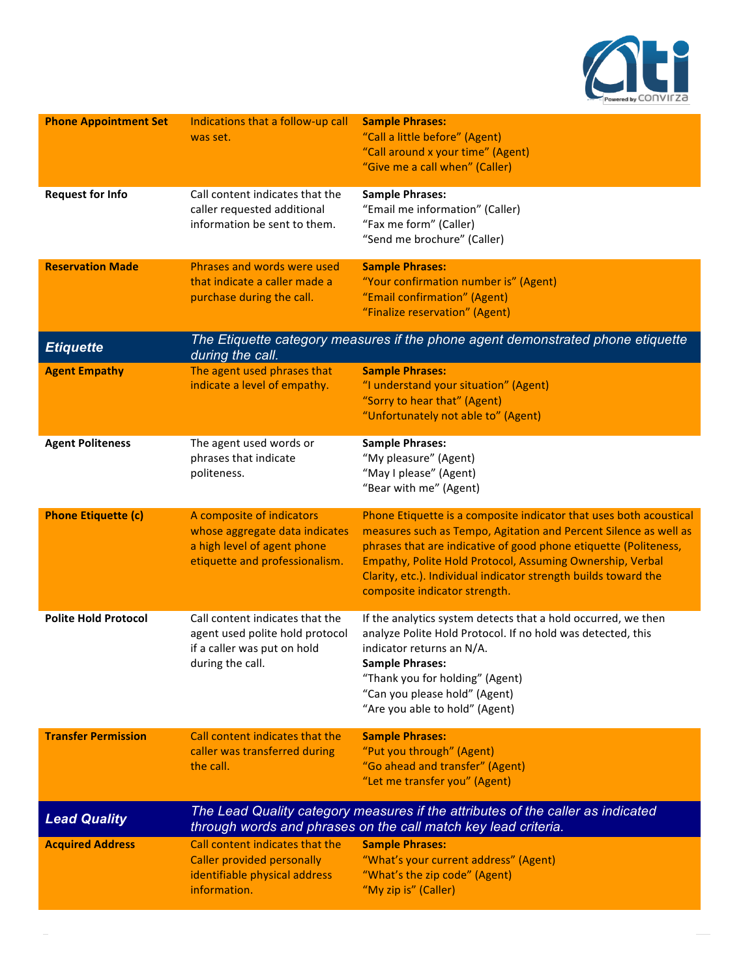

| <b>Phone Appointment Set</b> | Indications that a follow-up call<br>was set.                                                                                                     | <b>Sample Phrases:</b><br>"Call a little before" (Agent)<br>"Call around x your time" (Agent)<br>"Give me a call when" (Caller)                                                                                                                                                                                                                                             |
|------------------------------|---------------------------------------------------------------------------------------------------------------------------------------------------|-----------------------------------------------------------------------------------------------------------------------------------------------------------------------------------------------------------------------------------------------------------------------------------------------------------------------------------------------------------------------------|
| <b>Request for Info</b>      | Call content indicates that the<br>caller requested additional<br>information be sent to them.                                                    | <b>Sample Phrases:</b><br>"Email me information" (Caller)<br>"Fax me form" (Caller)<br>"Send me brochure" (Caller)                                                                                                                                                                                                                                                          |
| <b>Reservation Made</b>      | Phrases and words were used<br>that indicate a caller made a<br>purchase during the call.                                                         | <b>Sample Phrases:</b><br>"Your confirmation number is" (Agent)<br>"Email confirmation" (Agent)<br>"Finalize reservation" (Agent)                                                                                                                                                                                                                                           |
| <b>Etiquette</b>             | The Etiquette category measures if the phone agent demonstrated phone etiquette<br>during the call.                                               |                                                                                                                                                                                                                                                                                                                                                                             |
| <b>Agent Empathy</b>         | The agent used phrases that<br>indicate a level of empathy.                                                                                       | <b>Sample Phrases:</b><br>"I understand your situation" (Agent)<br>"Sorry to hear that" (Agent)<br>"Unfortunately not able to" (Agent)                                                                                                                                                                                                                                      |
| <b>Agent Politeness</b>      | The agent used words or<br>phrases that indicate<br>politeness.                                                                                   | <b>Sample Phrases:</b><br>"My pleasure" (Agent)<br>"May I please" (Agent)<br>"Bear with me" (Agent)                                                                                                                                                                                                                                                                         |
| <b>Phone Etiquette (c)</b>   | A composite of indicators<br>whose aggregate data indicates<br>a high level of agent phone<br>etiquette and professionalism.                      | Phone Etiquette is a composite indicator that uses both acoustical<br>measures such as Tempo, Agitation and Percent Silence as well as<br>phrases that are indicative of good phone etiquette (Politeness,<br>Empathy, Polite Hold Protocol, Assuming Ownership, Verbal<br>Clarity, etc.). Individual indicator strength builds toward the<br>composite indicator strength. |
| <b>Polite Hold Protocol</b>  | Call content indicates that the<br>agent used polite hold protocol<br>if a caller was put on hold<br>during the call.                             | If the analytics system detects that a hold occurred, we then<br>analyze Polite Hold Protocol. If no hold was detected, this<br>indicator returns an N/A.<br><b>Sample Phrases:</b><br>"Thank you for holding" (Agent)<br>"Can you please hold" (Agent)<br>"Are you able to hold" (Agent)                                                                                   |
| <b>Transfer Permission</b>   | Call content indicates that the<br>caller was transferred during<br>the call.                                                                     | <b>Sample Phrases:</b><br>"Put you through" (Agent)<br>"Go ahead and transfer" (Agent)<br>"Let me transfer you" (Agent)                                                                                                                                                                                                                                                     |
| <b>Lead Quality</b>          | The Lead Quality category measures if the attributes of the caller as indicated<br>through words and phrases on the call match key lead criteria. |                                                                                                                                                                                                                                                                                                                                                                             |
| <b>Acquired Address</b>      | Call content indicates that the<br><b>Caller provided personally</b><br>identifiable physical address<br>information.                             | <b>Sample Phrases:</b><br>"What's your current address" (Agent)<br>"What's the zip code" (Agent)<br>"My zip is" (Caller)                                                                                                                                                                                                                                                    |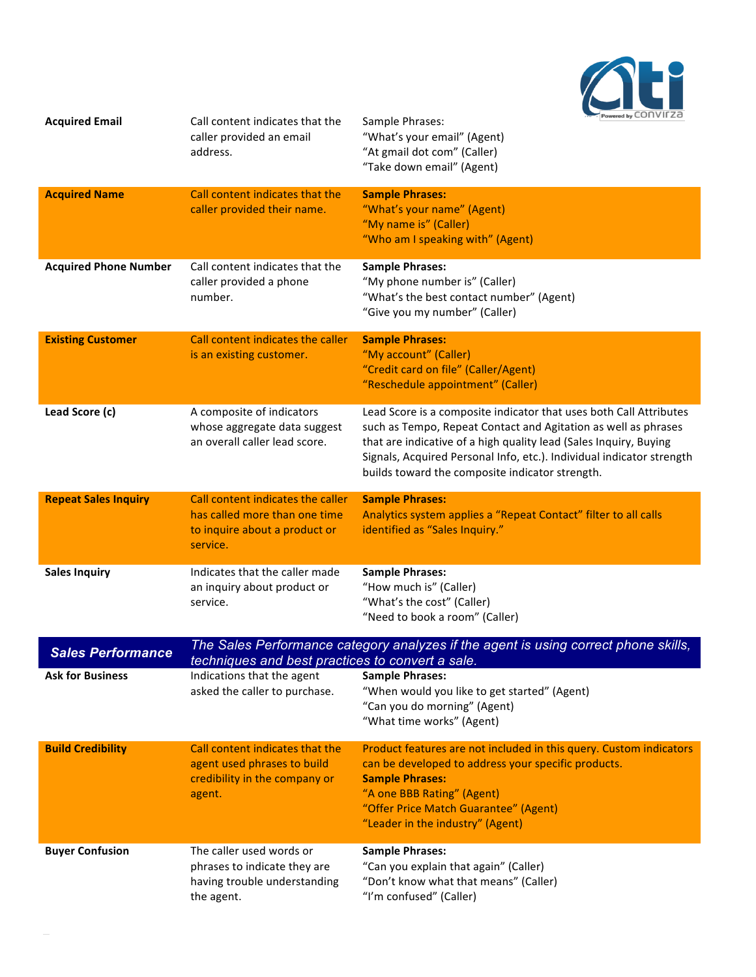

| <b>Acquired Email</b>        | Call content indicates that the<br>caller provided an email<br>address.                                         | $\overline{m}$ . Powered by $\cup$ U I I V II $\angle$ U<br>Sample Phrases:<br>"What's your email" (Agent)<br>"At gmail dot com" (Caller)<br>"Take down email" (Agent)                                                                                                                                                                |  |
|------------------------------|-----------------------------------------------------------------------------------------------------------------|---------------------------------------------------------------------------------------------------------------------------------------------------------------------------------------------------------------------------------------------------------------------------------------------------------------------------------------|--|
| <b>Acquired Name</b>         | Call content indicates that the<br>caller provided their name.                                                  | <b>Sample Phrases:</b><br>"What's your name" (Agent)<br>"My name is" (Caller)<br>"Who am I speaking with" (Agent)                                                                                                                                                                                                                     |  |
| <b>Acquired Phone Number</b> | Call content indicates that the<br>caller provided a phone<br>number.                                           | <b>Sample Phrases:</b><br>"My phone number is" (Caller)<br>"What's the best contact number" (Agent)<br>"Give you my number" (Caller)                                                                                                                                                                                                  |  |
| <b>Existing Customer</b>     | Call content indicates the caller<br>is an existing customer.                                                   | <b>Sample Phrases:</b><br>"My account" (Caller)<br>"Credit card on file" (Caller/Agent)<br>"Reschedule appointment" (Caller)                                                                                                                                                                                                          |  |
| Lead Score (c)               | A composite of indicators<br>whose aggregate data suggest<br>an overall caller lead score.                      | Lead Score is a composite indicator that uses both Call Attributes<br>such as Tempo, Repeat Contact and Agitation as well as phrases<br>that are indicative of a high quality lead (Sales Inquiry, Buying<br>Signals, Acquired Personal Info, etc.). Individual indicator strength<br>builds toward the composite indicator strength. |  |
| <b>Repeat Sales Inquiry</b>  | Call content indicates the caller<br>has called more than one time<br>to inquire about a product or<br>service. | <b>Sample Phrases:</b><br>Analytics system applies a "Repeat Contact" filter to all calls<br>identified as "Sales Inquiry."                                                                                                                                                                                                           |  |
| <b>Sales Inquiry</b>         | Indicates that the caller made<br>an inquiry about product or<br>service.                                       | <b>Sample Phrases:</b><br>"How much is" (Caller)<br>"What's the cost" (Caller)<br>"Need to book a room" (Caller)                                                                                                                                                                                                                      |  |
| <b>Sales Performance</b>     |                                                                                                                 | The Sales Performance category analyzes if the agent is using correct phone skills,<br>techniques and best practices to convert a sale.                                                                                                                                                                                               |  |
| <b>Ask for Business</b>      | Indications that the agent<br>asked the caller to purchase.                                                     | <b>Sample Phrases:</b><br>"When would you like to get started" (Agent)<br>"Can you do morning" (Agent)<br>"What time works" (Agent)                                                                                                                                                                                                   |  |
| <b>Build Credibility</b>     | Call content indicates that the<br>agent used phrases to build<br>credibility in the company or<br>agent.       | Product features are not included in this query. Custom indicators<br>can be developed to address your specific products.<br><b>Sample Phrases:</b><br>"A one BBB Rating" (Agent)<br>"Offer Price Match Guarantee" (Agent)<br>"Leader in the industry" (Agent)                                                                        |  |
| <b>Buyer Confusion</b>       | The caller used words or<br>phrases to indicate they are<br>having trouble understanding<br>the agent.          | <b>Sample Phrases:</b><br>"Can you explain that again" (Caller)<br>"Don't know what that means" (Caller)<br>"I'm confused" (Caller)                                                                                                                                                                                                   |  |